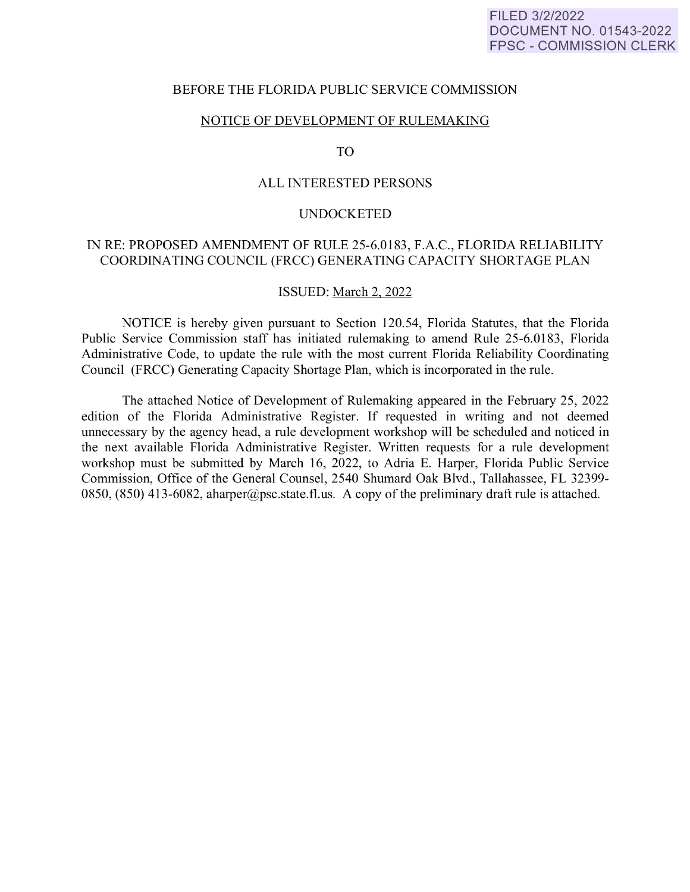### BEFORE THE FLORIDA PUBLIC SERVICE COMMISSION

### NOTICE OF DEVELOPMENT OF RULEMAKING

TO

### ALL INTERESTED PERSONS

#### **UNDOCKETED**

### IN RE: PROPOSED AMENDMENT OF RULE 25-6.0183, F.A.C., FLORIDA RELIABILITY COORDINATING COUNCIL (FRCC) GENERATING CAPACITY SHORTAGE PLAN

### ISSUED: March 2, 2022

NOTICE is hereby given pursuant to Section 120.54, Florida Statutes, that the Florida Public Service Commission staff has initiated rulemaking to amend Rule 25-6.0183, Florida Administrative Code, to update the rule with the most current Florida Reliability Coordinating Council (FRCC) Generating Capacity Shortage Plan, which is incorporated in the rule.

The attached Notice of Development of Rulemaking appeared in the February 25, 2022 edition of the Florida Administrative Register. If requested in writing and not deemed unnecessary by the agency head, a rule development workshop will be scheduled and noticed in the next available Florida Administrative Register. Written requests for a rule development workshop must be submitted by March 16, 2022, to Adria E. Harper, Florida Public Service Commission, Office of the General Counsel, 2540 Shumard Oak Blvd., Tallahassee, FL 32399- 0850, (850) 413-6082, aharper@psc.state.fl.us. A copy of the preliminary draft rule is attached.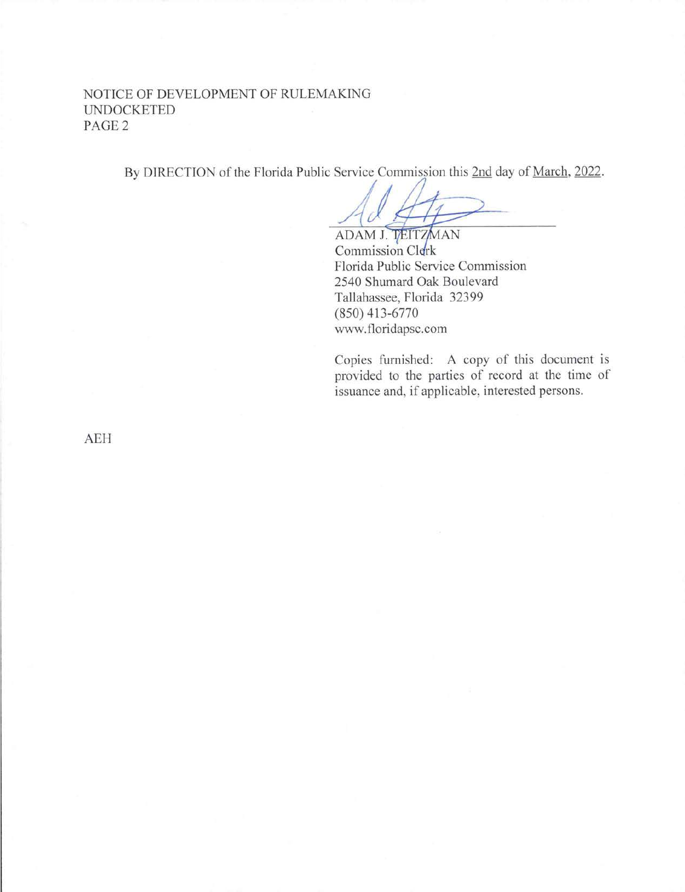# NOTICE OF DEVELOPMENT OF RULEMAKING UNDOCKETED PAGE2

By DIRECTION of the Florida Public Service Commission this 2nd day of <u>March, 2022</u>.

ADAM J. TEITZMAN<br>Commission Clerk Florida Public Service Commission 2540 Shumard Oak Boulevard Tallahassee, Florida 32399 (850) 413-6770 www.floridapsc.com

Copies furnished: A copy of this document is provided to the parties of record at the time of issuance and, if applicable, interested persons.

AEH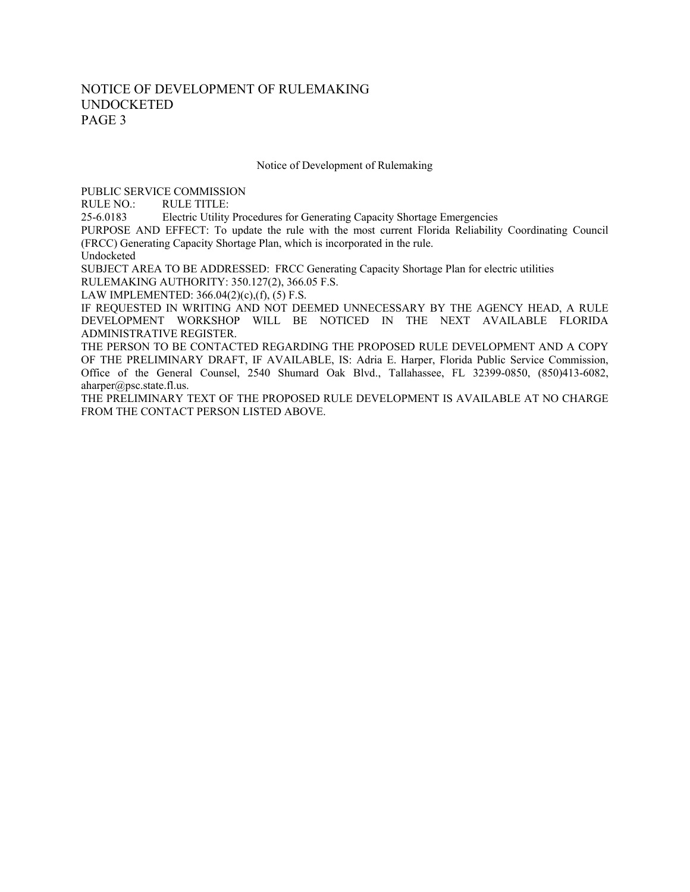## NOTICE OF DEVELOPMENT OF RULEMAKING UNDOCKETED PAGE 3

Notice of Development of Rulemaking

PUBLIC SERVICE COMMISSION

RULE NO.: RULE TITLE:

25-6.0183 Electric Utility Procedures for Generating Capacity Shortage Emergencies

PURPOSE AND EFFECT: To update the rule with the most current Florida Reliability Coordinating Council (FRCC) Generating Capacity Shortage Plan, which is incorporated in the rule.

Undocketed

SUBJECT AREA TO BE ADDRESSED: FRCC Generating Capacity Shortage Plan for electric utilities

RULEMAKING AUTHORITY: 350.127(2), 366.05 F.S.

LAW IMPLEMENTED: 366.04(2)(c),(f), (5) F.S.

IF REQUESTED IN WRITING AND NOT DEEMED UNNECESSARY BY THE AGENCY HEAD, A RULE DEVELOPMENT WORKSHOP WILL BE NOTICED IN THE NEXT AVAILABLE FLORIDA ADMINISTRATIVE REGISTER.

THE PERSON TO BE CONTACTED REGARDING THE PROPOSED RULE DEVELOPMENT AND A COPY OF THE PRELIMINARY DRAFT, IF AVAILABLE, IS: Adria E. Harper, Florida Public Service Commission, Office of the General Counsel, 2540 Shumard Oak Blvd., Tallahassee, FL 32399-0850, (850)413-6082, aharper@psc.state.fl.us.

THE PRELIMINARY TEXT OF THE PROPOSED RULE DEVELOPMENT IS AVAILABLE AT NO CHARGE FROM THE CONTACT PERSON LISTED ABOVE.